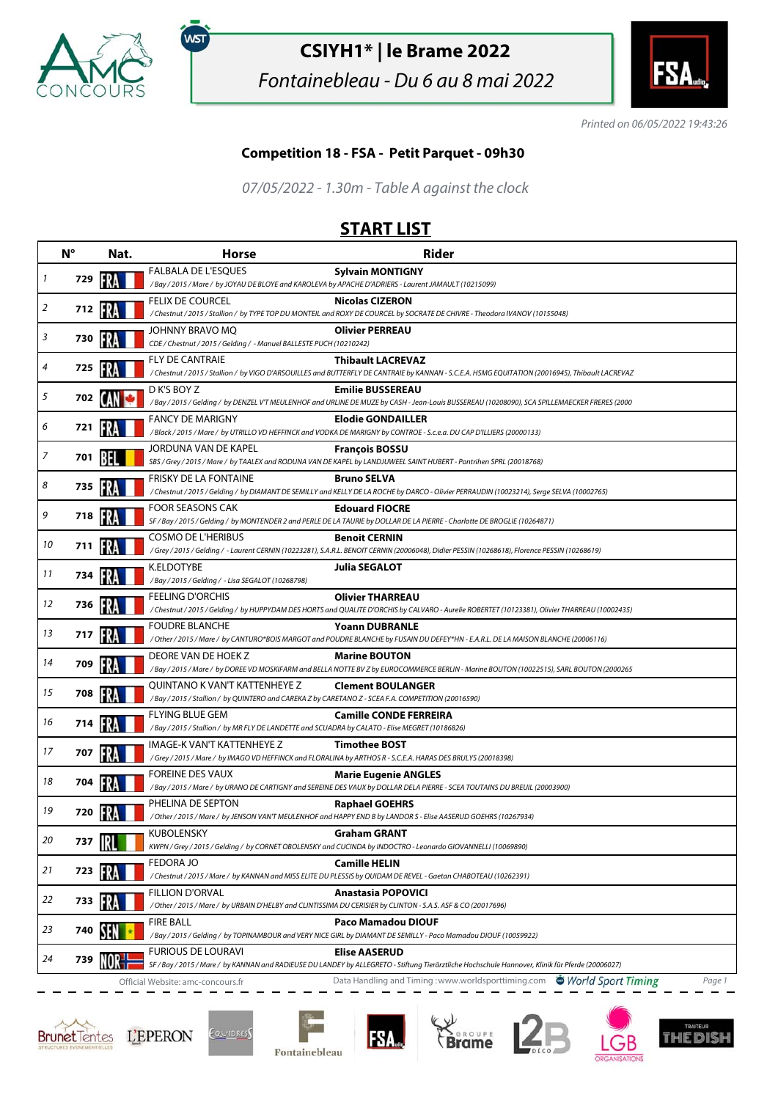

,<br>wsт

## **CSIYH1\* | le Brame 2022**

Fontainebleau - Du 6 au 8 mai 2022



Printed on 06/05/2022 19:43:26

## **Competition 18 - FSA - Petit Parquet - 09h30**

07/05/2022 - 1.30m - Table A against the clock

## **START LIST**

|    | $N^{\circ}$ | Nat.           | <b>Horse</b>                                                                                                                            | <b>Rider</b>                                                                                                                                                                 |
|----|-------------|----------------|-----------------------------------------------------------------------------------------------------------------------------------------|------------------------------------------------------------------------------------------------------------------------------------------------------------------------------|
| 1  | 729         | FR             | <b>FALBALA DE L'ESQUES</b><br>/Bay / 2015 / Mare / by JOYAU DE BLOYE and KAROLEVA by APACHE D'ADRIERS - Laurent JAMAULT (10215099)      | <b>Sylvain MONTIGNY</b>                                                                                                                                                      |
| 2  | 712 1       |                | FELIX DE COURCEL                                                                                                                        | <b>Nicolas CIZERON</b><br>/Chestnut / 2015 / Stallion / by TYPE TOP DU MONTEIL and ROXY DE COURCEL by SOCRATE DE CHIVRE - Theodora IVANOV (10155048)                         |
| 3  | 730         |                | JOHNNY BRAVO MQ<br>CDE / Chestnut / 2015 / Gelding / - Manuel BALLESTE PUCH (10210242)                                                  | <b>Olivier PERREAU</b>                                                                                                                                                       |
| 4  | 725         |                | <b>FLY DE CANTRAIE</b>                                                                                                                  | <b>Thibault LACREVAZ</b><br>/ Chestnut / 2015 / Stallion / by VIGO D'ARSOUILLES and BUTTERFLY DE CANTRAIE by KANNAN - S.C.E.A. HSMG EQUITATION (20016945), Thibault LACREVAZ |
| 5  |             | 702 <b>[AN</b> | D K'S BOY Z                                                                                                                             | <b>Emilie BUSSEREAU</b><br>/Bay / 2015 / Gelding / by DENZEL V'T MEULENHOF and URLINE DE MUZE by CASH - Jean-Louis BUSSEREAU (10208090), SCA SPILLEMAECKER FRERES (2000      |
| 6  | 721         |                | <b>FANCY DE MARIGNY</b>                                                                                                                 | <b>Elodie GONDAILLER</b><br>/Black / 2015 / Mare / by UTRILLO VD HEFFINCK and VODKA DE MARIGNY by CONTROE - S.c.e.a. DU CAP D'ILLIERS (20000133)                             |
| 7  | 701         |                | JORDUNA VAN DE KAPEL                                                                                                                    | <b>François BOSSU</b><br>SBS / Grey / 2015 / Mare / by TAALEX and RODUNA VAN DE KAPEL by LANDJUWEEL SAINT HUBERT - Pontrihen SPRL (20018768)                                 |
| 8  | 735         |                | <b>FRISKY DE LA FONTAINE</b>                                                                                                            | <b>Bruno SELVA</b><br>/Chestnut/2015/Gelding/byDIAMANTDE SEMILLY and KELLYDE LA ROCHE byDARCO-Olivier PERRAUDIN (10023214), Serge SELVA (10002765)                           |
| 9  | 718         | FR             | FOOR SEASONS CAK                                                                                                                        | <b>Edouard FIOCRE</b><br>SF / Bay / 2015 / Gelding / by MONTENDER 2 and PERLE DE LA TAURIE by DOLLAR DE LA PIERRE - Charlotte DE BROGLIE (10264871)                          |
| 10 | 711         |                | <b>COSMO DE L'HERIBUS</b>                                                                                                               | <b>Benoit CERNIN</b><br>/Grey / 2015 / Gelding / - Laurent CERNIN (10223281), S.A.R.L. BENOIT CERNIN (20006048), Didier PESSIN (10268618), Florence PESSIN (10268619)        |
| 11 | 734         |                | K.ELDOTYBE<br>/Bay / 2015 / Gelding / - Lisa SEGALOT (10268798)                                                                         | Julia SEGALOT                                                                                                                                                                |
| 12 | 736         |                | <b>FEELING D'ORCHIS</b>                                                                                                                 | <b>Olivier THARREAU</b><br>/ Chestnut / 2015 / Gelding / by HUPPYDAM DES HORTS and QUALITE D'ORCHIS by CALVARO - Aurelie ROBERTET (10123381), Olivier THARREAU (10002435)    |
| 13 | 717         |                | <b>FOUDRE BLANCHE</b>                                                                                                                   | <b>Yoann DUBRANLE</b><br>/Other/2015/Mare/ by CANTURO*BOIS MARGOT and POUDRE BLANCHE by FUSAIN DU DEFEY*HN - E.A.R.L. DE LA MAISON BLANCHE (20006116)                        |
| 14 | 709         | FRA            | DEORE VAN DE HOEK Z                                                                                                                     | <b>Marine BOUTON</b><br>/Bay / 2015 / Mare / by DOREE VD MOSKIFARM and BELLA NOTTE BV Z by EUROCOMMERCE BERLIN - Marine BOUTON (10022515), SARL BOUTON (2000265              |
| 15 | 708         |                | QUINTANO K VAN'T KATTENHEYE Z<br>/ Bay / 2015 / Stallion / by QUINTERO and CAREKA Z by CARETANO Z - SCEA F.A. COMPETITION (20016590)    | <b>Clement BOULANGER</b>                                                                                                                                                     |
| 16 | 714         |                | <b>FLYING BLUE GEM</b><br>/ Bay / 2015 / Stallion / by MR FLY DE LANDETTE and SCUADRA by CALATO - Elise MEGRET (10186826)               | <b>Camille CONDE FERREIRA</b>                                                                                                                                                |
| 17 | 707         |                | IMAGE-K VAN'T KATTENHEYE Z                                                                                                              | <b>Timothee BOST</b><br>/Grey / 2015 / Mare / by IMAGO VD HEFFINCK and FLORALINA by ARTHOS R - S.C.E.A. HARAS DES BRULYS (20018398)                                          |
| 18 | 704         |                | FOREINE DES VAUX                                                                                                                        | <b>Marie Eugenie ANGLES</b><br>/Bay / 2015 / Mare / by URANO DE CARTIGNY and SEREINE DES VAUX by DOLLAR DELA PIERRE - SCEA TOUTAINS DU BREUIL (20003900)                     |
| 19 | 720         |                | PHELINA DE SEPTON                                                                                                                       | <b>Raphael GOEHRS</b><br>/ Other / 2015 / Mare / by JENSON VAN'T MEULENHOF and HAPPY END B by LANDOR S - Elise AASERUD GOEHRS (10267934)                                     |
| 20 | 737         |                | <b>KUBOLENSKY</b>                                                                                                                       | Graham GRANT<br>KWPN / Grey / 2015 / Gelding / by CORNET OBOLENSKY and CUCINDA by INDOCTRO - Leonardo GIOVANNELLI (10069890)                                                 |
| 21 | 723         |                | FEDORA JO                                                                                                                               | <b>Camille HELIN</b><br>/ Chestnut / 2015 / Mare / by KANNAN and MISS ELITE DU PLESSIS by QUIDAM DE REVEL - Gaetan CHABOTEAU (10262391)                                      |
| 22 | 733         |                | <b>FILLION D'ORVAL</b><br>/ Other / 2015 / Mare / by URBAIN D'HELBY and CLINTISSIMA DU CERISIER by CLINTON - S.A.S. ASF & CO (20017696) | <b>Anastasia POPOVICI</b>                                                                                                                                                    |
| 23 | 740         |                | <b>FIRE BALL</b>                                                                                                                        | Paco Mamadou DIOUF<br>/Bay / 2015 / Gelding / by TOPINAMBOUR and VERY NICE GIRL by DIAMANT DE SEMILLY - Paco Mamadou DIOUF (10059922)                                        |
| 24 | 739         |                | <b>FURIOUS DE LOURAVI</b>                                                                                                               | <b>Elise AASERUD</b><br>SF / Bay / 2015 / Mare / by KANNAN and RADIEUSE DU LANDEY by ALLEGRETO - Stiftung Tierärztliche Hochschule Hannover, Klinik für Pferde (20006027)    |
|    |             |                | Official Website: amc-concours.fr                                                                                                       | Data Handling and Timing: www.worldsporttiming.com World Sport Timing<br>Page 1                                                                                              |